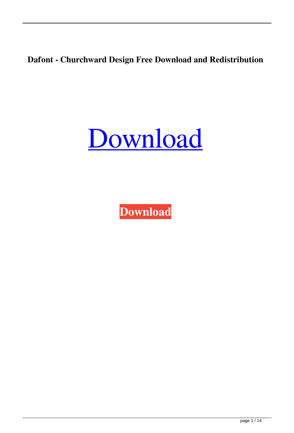**Dafont - Churchward Design Free Download and Redistribution**

[Download](https://shurll.com/2kyl5e)

**[Download](https://shurll.com/2kyl5e)**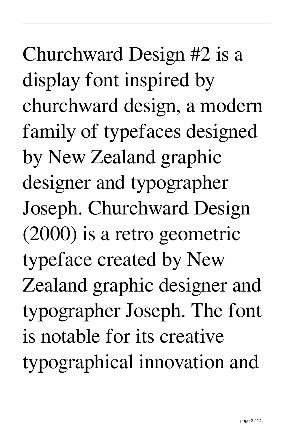Churchward Design #2 is a display font inspired by churchward design, a modern family of typefaces designed by New Zealand graphic designer and typographer Joseph. Churchward Design (2000) is a retro geometric typeface created by New Zealand graphic designer and typographer Joseph. The font is notable for its creative typographical innovation and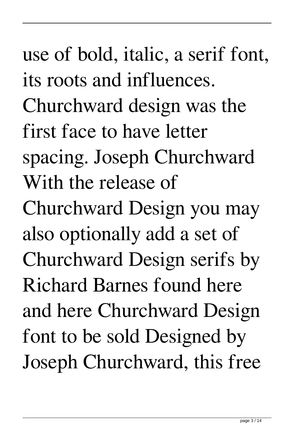use of bold, italic, a serif font, its roots and influences. Churchward design was the first face to have letter spacing. Joseph Churchward With the release of Churchward Design you may also optionally add a set of Churchward Design serifs by Richard Barnes found here and here Churchward Design font to be sold Designed by Joseph Churchward, this free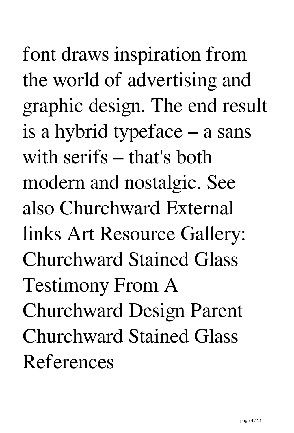font draws inspiration from the world of advertising and graphic design. The end result is a hybrid typeface – a sans with serifs – that's both modern and nostalgic. See also Churchward External links Art Resource Gallery: Churchward Stained Glass Testimony From A Churchward Design Parent Churchward Stained Glass References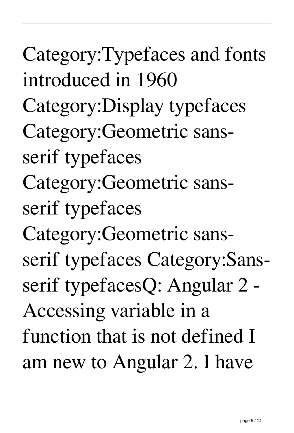Category:Typefaces and fonts introduced in 1960 Category:Display typefaces Category:Geometric sansserif typefaces Category:Geometric sansserif typefaces Category:Geometric sansserif typefaces Category:Sansserif typefacesQ: Angular 2 - Accessing variable in a function that is not defined I am new to Angular 2. I have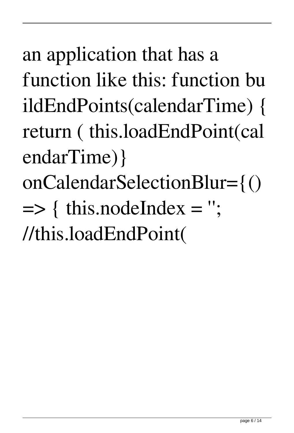an application that has a function like this: function bu ildEndPoints(calendarTime) { return ( this.loadEndPoint(cal endarTime)} onCalendarSelectionBlur={()  $\Rightarrow$  { this.nodeIndex = "; //this.loadEndPoint(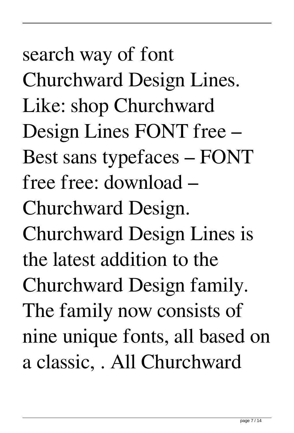search way of font Churchward Design Lines. Like: shop Churchward Design Lines FONT free – Best sans typefaces – FONT free free: download – Churchward Design. Churchward Design Lines is the latest addition to the Churchward Design family. The family now consists of nine unique fonts, all based on a classic, . All Churchward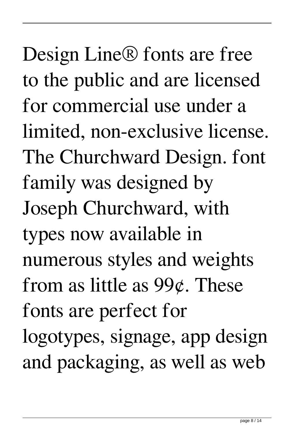Design Line® fonts are free to the public and are licensed for commercial use under a limited, non-exclusive license. The Churchward Design. font family was designed by Joseph Churchward, with types now available in numerous styles and weights from as little as 99¢. These fonts are perfect for logotypes, signage, app design and packaging, as well as web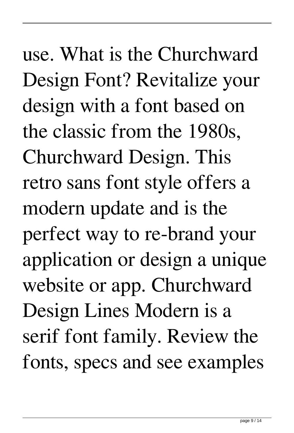use. What is the Churchward Design Font? Revitalize your design with a font based on the classic from the 1980s, Churchward Design. This retro sans font style offers a modern update and is the perfect way to re-brand your application or design a unique website or app. Churchward Design Lines Modern is a serif font family. Review the fonts, specs and see examples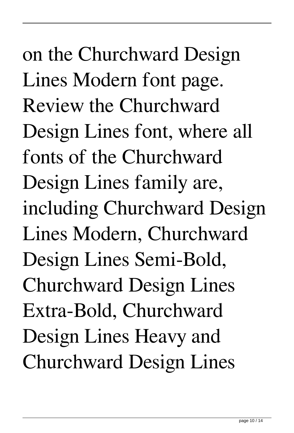on the Churchward Design Lines Modern font page. Review the Churchward Design Lines font, where all fonts of the Churchward Design Lines family are, including Churchward Design Lines Modern, Churchward Design Lines Semi-Bold, Churchward Design Lines Extra-Bold, Churchward Design Lines Heavy and Churchward Design Lines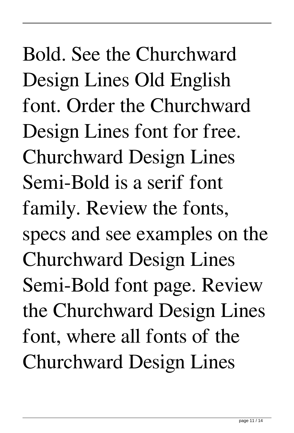Bold. See the Churchward Design Lines Old English font. Order the Churchward Design Lines font for free. Churchward Design Lines Semi-Bold is a serif font family. Review the fonts, specs and see examples on the Churchward Design Lines Semi-Bold font page. Review the Churchward Design Lines font, where all fonts of the Churchward Design Lines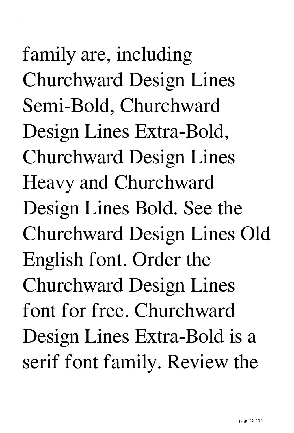family are, including Churchward Design Lines Semi-Bold, Churchward Design Lines Extra-Bold, Churchward Design Lines Heavy and Churchward Design Lines Bold. See the Churchward Design Lines Old English font. Order the Churchward Design Lines font for free. Churchward Design Lines Extra-Bold is a serif font family. Review the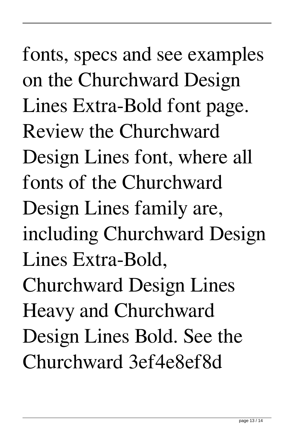fonts, specs and see examples on the Churchward Design Lines Extra-Bold font page. Review the Churchward Design Lines font, where all fonts of the Churchward Design Lines family are, including Churchward Design Lines Extra-Bold, Churchward Design Lines Heavy and Churchward Design Lines Bold. See the Churchward 3ef4e8ef8d